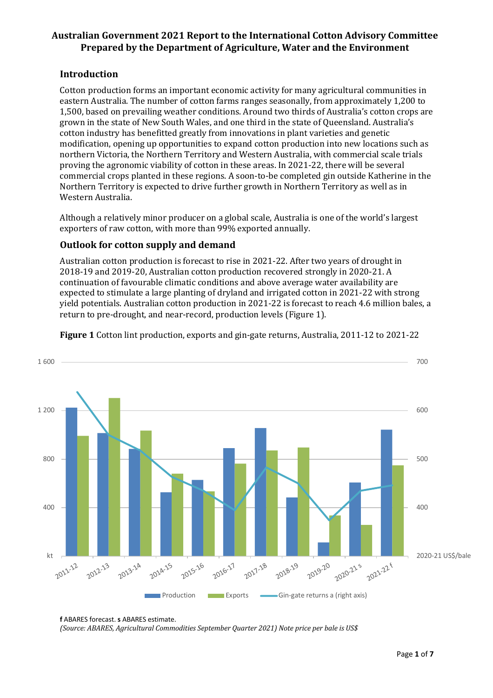# Australian Government 2021 Report to the International Cotton Advisory Committee **Prepared by the Department of Agriculture, Water and the Environment**

## **Introduction**

Cotton production forms an important economic activity for many agricultural communities in eastern Australia. The number of cotton farms ranges seasonally, from approximately 1,200 to 1,500, based on prevailing weather conditions. Around two thirds of Australia's cotton crops are grown in the state of New South Wales, and one third in the state of Queensland. Australia's cotton industry has benefitted greatly from innovations in plant varieties and genetic modification, opening up opportunities to expand cotton production into new locations such as northern Victoria, the Northern Territory and Western Australia, with commercial scale trials proving the agronomic viability of cotton in these areas. In 2021-22, there will be several commercial crops planted in these regions. A soon-to-be completed gin outside Katherine in the Northern Territory is expected to drive further growth in Northern Territory as well as in Western Australia.

Although a relatively minor producer on a global scale, Australia is one of the world's largest exporters of raw cotton, with more than 99% exported annually.

## **Outlook for cotton supply and demand**

Australian cotton production is forecast to rise in 2021-22. After two years of drought in 2018-19 and 2019-20, Australian cotton production recovered strongly in 2020-21. A continuation of favourable climatic conditions and above average water availability are expected to stimulate a large planting of dryland and irrigated cotton in 2021-22 with strong yield potentials. Australian cotton production in 2021-22 is forecast to reach 4.6 million bales, a return to pre-drought, and near-record, production levels (Figure 1).



**Figure 1** Cotton lint production, exports and gin-gate returns, Australia, 2011-12 to 2021-22

*(Source: ABARES, Agricultural Commodities September Quarter 2021) Note price per bale is US\$*

**f** ABARES forecast. **s** ABARES estimate.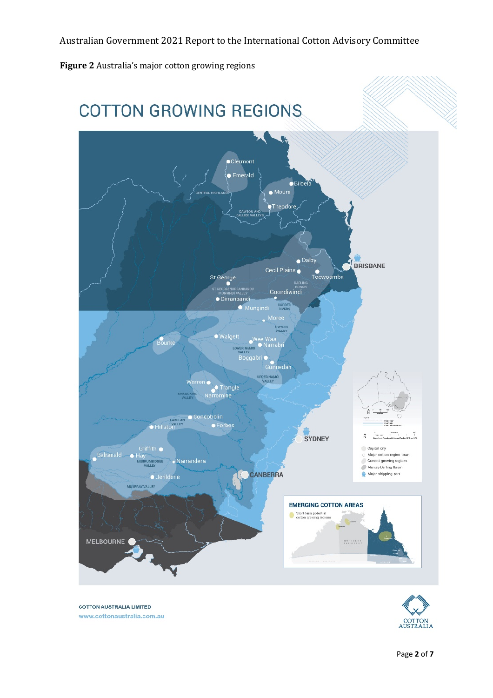Figure 2 Australia's major cotton growing regions





**COTTON AUSTRALIA LIMITED** www.cottonaustralia.com.au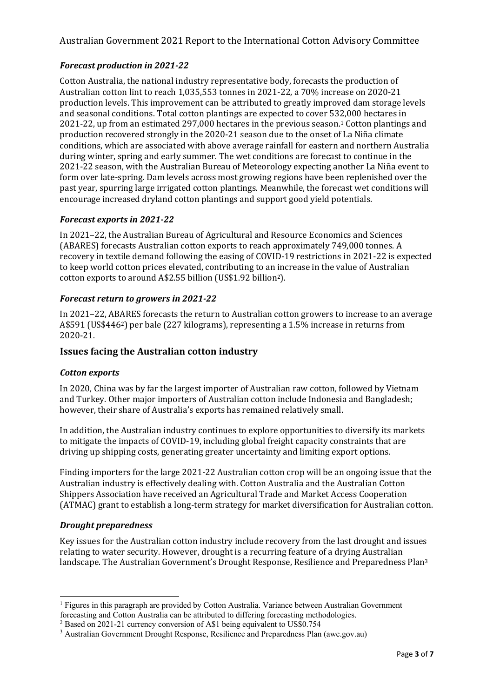# *Forecast production in 2021-22*

Cotton Australia, the national industry representative body, forecasts the production of Australian cotton lint to reach 1,035,553 tonnes in 2021-22, a 70% increase on 2020-21 production levels. This improvement can be attributed to greatly improved dam storage levels and seasonal conditions. Total cotton plantings are expected to cover 532,000 hectares in  $2021-22$ , up from an estimated  $297,000$  hectares in the previous season.<sup>1</sup> Cotton plantings and production recovered strongly in the 2020-21 season due to the onset of La Niña climate conditions, which are associated with above average rainfall for eastern and northern Australia during winter, spring and early summer. The wet conditions are forecast to continue in the 2021-22 season, with the Australian Bureau of Meteorology expecting another La Niña event to form over late-spring. Dam levels across most growing regions have been replenished over the past year, spurring large irrigated cotton plantings. Meanwhile, the forecast wet conditions will encourage increased dryland cotton plantings and support good yield potentials.

## *Forecast exports in 2021-22*

In 2021–22, the Australian Bureau of Agricultural and Resource Economics and Sciences (ABARES) forecasts Australian cotton exports to reach approximately 749,000 tonnes. A recovery in textile demand following the easing of COVID-19 restrictions in 2021-22 is expected to keep world cotton prices elevated, contributing to an increase in the value of Australian cotton exports to around A\$2.55 billion (US\$1.92 billion<sup>2</sup>).

## *Forecast return to growers in 2021-22*

In 2021–22, ABARES forecasts the return to Australian cotton growers to increase to an average A\$591 (US\$446<sup>2</sup>) per bale (227 kilograms), representing a 1.5% increase in returns from 2020-21.

## **Issues facing the Australian cotton industry**

#### *Cotton exports*

In 2020, China was by far the largest importer of Australian raw cotton, followed by Vietnam and Turkey. Other major importers of Australian cotton include Indonesia and Bangladesh; however, their share of Australia's exports has remained relatively small.

In addition, the Australian industry continues to explore opportunities to diversify its markets to mitigate the impacts of COVID-19, including global freight capacity constraints that are driving up shipping costs, generating greater uncertainty and limiting export options.

Finding importers for the large 2021-22 Australian cotton crop will be an ongoing issue that the Australian industry is effectively dealing with. Cotton Australia and the Australian Cotton Shippers Association have received an Agricultural Trade and Market Access Cooperation (ATMAC) grant to establish a long-term strategy for market diversification for Australian cotton.

#### *Drought preparedness*

Key issues for the Australian cotton industry include recovery from the last drought and issues relating to water security. However, drought is a recurring feature of a drying Australian landscape. The Australian Government's Drought Response, Resilience and Preparedness Plan<sup>3</sup>

 $<sup>1</sup>$  Figures in this paragraph are provided by Cotton Australia. Variance between Australian Government</sup> forecasting and Cotton Australia can be attributed to differing forecasting methodologies.

<sup>&</sup>lt;sup>2</sup> Based on 2021-21 currency conversion of A\$1 being equivalent to US\$0.754

<sup>&</sup>lt;sup>3</sup> Australian Government Drought Response, Resilience and Preparedness Plan (awe.gov.au)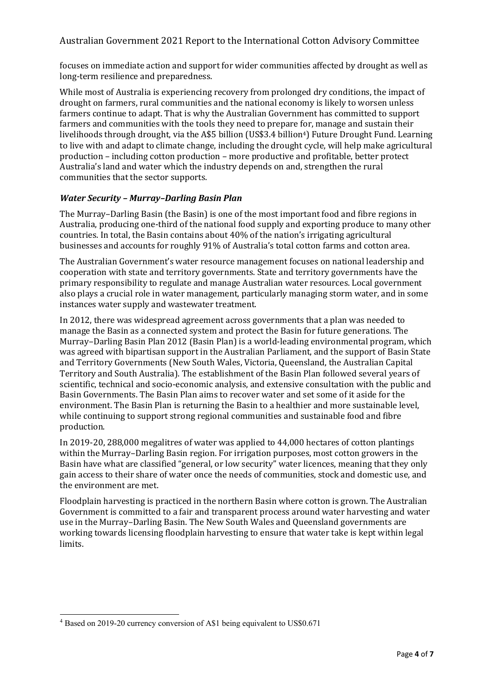focuses on immediate action and support for wider communities affected by drought as well as long-term resilience and preparedness.

While most of Australia is experiencing recovery from prolonged dry conditions, the impact of drought on farmers, rural communities and the national economy is likely to worsen unless farmers continue to adapt. That is why the Australian Government has committed to support farmers and communities with the tools they need to prepare for, manage and sustain their livelihoods through drought, via the A\$5 billion (US\$3.4 billion<sup>4</sup>) Future Drought Fund. Learning to live with and adapt to climate change, including the drought cycle, will help make agricultural production – including cotton production – more productive and profitable, better protect Australia's land and water which the industry depends on and, strengthen the rural communities that the sector supports.

### *Water Security – Murray–Darling Basin Plan*

The Murray–Darling Basin (the Basin) is one of the most important food and fibre regions in Australia, producing one-third of the national food supply and exporting produce to many other countries. In total, the Basin contains about  $40\%$  of the nation's irrigating agricultural businesses and accounts for roughly 91% of Australia's total cotton farms and cotton area.

The Australian Government's water resource management focuses on national leadership and cooperation with state and territory governments. State and territory governments have the primary responsibility to regulate and manage Australian water resources. Local government also plays a crucial role in water management, particularly managing storm water, and in some instances water supply and wastewater treatment.

In 2012, there was widespread agreement across governments that a plan was needed to manage the Basin as a connected system and protect the Basin for future generations. The Murray–Darling Basin Plan 2012 (Basin Plan) is a world-leading environmental program, which was agreed with bipartisan support in the Australian Parliament, and the support of Basin State and Territory Governments (New South Wales, Victoria, Queensland, the Australian Capital Territory and South Australia). The establishment of the Basin Plan followed several years of scientific, technical and socio-economic analysis, and extensive consultation with the public and Basin Governments. The Basin Plan aims to recover water and set some of it aside for the environment. The Basin Plan is returning the Basin to a healthier and more sustainable level, while continuing to support strong regional communities and sustainable food and fibre production.

In  $2019-20$ ,  $288,000$  megalitres of water was applied to  $44,000$  hectares of cotton plantings within the Murray–Darling Basin region. For irrigation purposes, most cotton growers in the Basin have what are classified "general, or low security" water licences, meaning that they only gain access to their share of water once the needs of communities, stock and domestic use, and the environment are met.

Floodplain harvesting is practiced in the northern Basin where cotton is grown. The Australian Government is committed to a fair and transparent process around water harvesting and water use in the Murray–Darling Basin. The New South Wales and Queensland governments are working towards licensing floodplain harvesting to ensure that water take is kept within legal limits.

<sup>4</sup> Based on 2019-20 currency conversion of A\$1 being equivalent to US\$0.671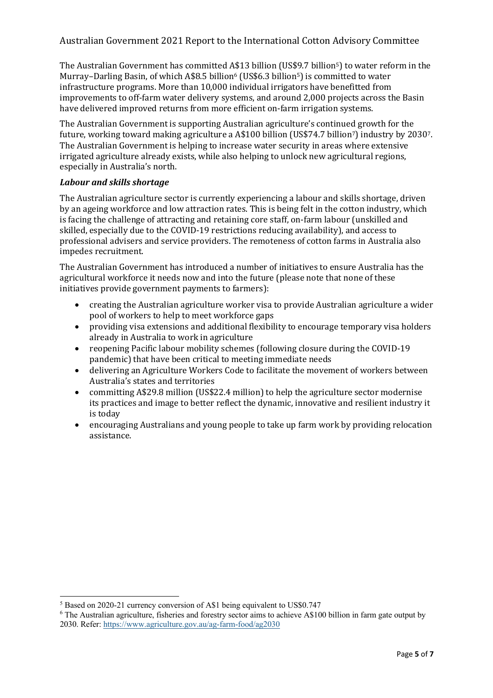The Australian Government has committed A\$13 billion (US\$9.7 billion<sup>5</sup>) to water reform in the Murray–Darling Basin, of which A\$8.5 billion<sup>6</sup> (US\$6.3 billion<sup>5</sup>) is committed to water infrastructure programs. More than 10,000 individual irrigators have benefitted from improvements to off-farm water delivery systems, and around 2,000 projects across the Basin have delivered improved returns from more efficient on-farm irrigation systems.

The Australian Government is supporting Australian agriculture's continued growth for the future, working toward making agriculture a A\$100 billion (US\$74.7 billion<sup>7</sup>) industry by 2030<sup>7</sup>. The Australian Government is helping to increase water security in areas where extensive irrigated agriculture already exists, while also helping to unlock new agricultural regions, especially in Australia's north.

### *Labour and skills shortage*

The Australian agriculture sector is currently experiencing a labour and skills shortage, driven by an ageing workforce and low attraction rates. This is being felt in the cotton industry, which is facing the challenge of attracting and retaining core staff, on-farm labour (unskilled and skilled, especially due to the COVID-19 restrictions reducing availability), and access to professional advisers and service providers. The remoteness of cotton farms in Australia also impedes recruitment.

The Australian Government has introduced a number of initiatives to ensure Australia has the agricultural workforce it needs now and into the future (please note that none of these initiatives provide government payments to farmers):

- creating the Australian agriculture worker visa to provide Australian agriculture a wider pool of workers to help to meet workforce gaps
- providing visa extensions and additional flexibility to encourage temporary visa holders already in Australia to work in agriculture
- reopening Pacific labour mobility schemes (following closure during the COVID-19 pandemic) that have been critical to meeting immediate needs
- delivering an Agriculture Workers Code to facilitate the movement of workers between Australia's states and territories
- committing A\$29.8 million (US\$22.4 million) to help the agriculture sector modernise its practices and image to better reflect the dynamic, innovative and resilient industry it is today
- encouraging Australians and young people to take up farm work by providing relocation assistance.

<sup>&</sup>lt;sup>5</sup> Based on 2020-21 currency conversion of A\$1 being equivalent to US\$0.747

<sup>6</sup> The Australian agriculture, fisheries and forestry sector aims to achieve A\$100 billion in farm gate output by 2030. Refer: https://www.agriculture.gov.au/ag-farm-food/ag2030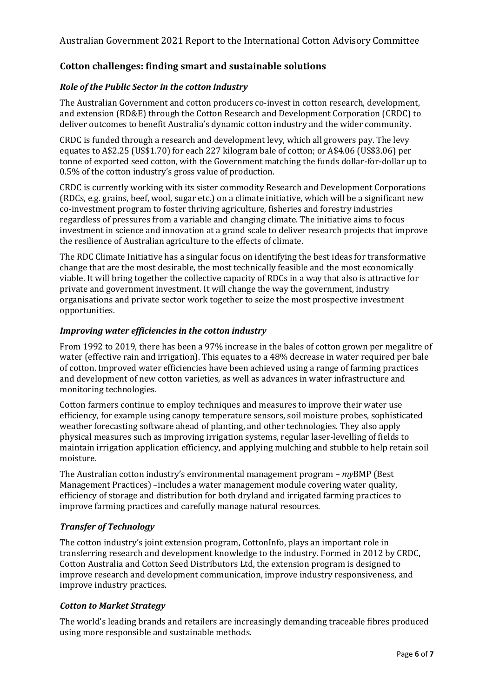## Cotton challenges: finding smart and sustainable solutions

#### *Role of the Public Sector in the cotton industry*

The Australian Government and cotton producers co-invest in cotton research, development, and extension (RD&E) through the Cotton Research and Development Corporation (CRDC) to deliver outcomes to benefit Australia's dynamic cotton industry and the wider community.

CRDC is funded through a research and development levy, which all growers pay. The levy equates to A\$2.25 (US\$1.70) for each 227 kilogram bale of cotton; or A\$4.06 (US\$3.06) per tonne of exported seed cotton, with the Government matching the funds dollar-for-dollar up to 0.5% of the cotton industry's gross value of production.

CRDC is currently working with its sister commodity Research and Development Corporations (RDCs, e.g. grains, beef, wool, sugar etc.) on a climate initiative, which will be a significant new co-investment program to foster thriving agriculture, fisheries and forestry industries regardless of pressures from a variable and changing climate. The initiative aims to focus investment in science and innovation at a grand scale to deliver research projects that improve the resilience of Australian agriculture to the effects of climate.

The RDC Climate Initiative has a singular focus on identifying the best ideas for transformative change that are the most desirable, the most technically feasible and the most economically viable. It will bring together the collective capacity of RDCs in a way that also is attractive for private and government investment. It will change the way the government, industry organisations and private sector work together to seize the most prospective investment opportunities.

#### *Improving water efficiencies in the cotton industry*

From 1992 to 2019, there has been a 97% increase in the bales of cotton grown per megalitre of water (effective rain and irrigation). This equates to a 48% decrease in water required per bale of cotton. Improved water efficiencies have been achieved using a range of farming practices and development of new cotton varieties, as well as advances in water infrastructure and monitoring technologies.

Cotton farmers continue to employ techniques and measures to improve their water use efficiency, for example using canopy temperature sensors, soil moisture probes, sophisticated weather forecasting software ahead of planting, and other technologies. They also apply physical measures such as improving irrigation systems, regular laser-levelling of fields to maintain irrigation application efficiency, and applying mulching and stubble to help retain soil moisture.

The Australian cotton industry's environmental management program – *myBMP* (Best Management Practices) –includes a water management module covering water quality, efficiency of storage and distribution for both dryland and irrigated farming practices to improve farming practices and carefully manage natural resources.

## *Transfer of Technology*

The cotton industry's joint extension program, CottonInfo, plays an important role in transferring research and development knowledge to the industry. Formed in 2012 by CRDC, Cotton Australia and Cotton Seed Distributors Ltd, the extension program is designed to improve research and development communication, improve industry responsiveness, and improve industry practices.

## *Cotton to Market Strategy*

The world's leading brands and retailers are increasingly demanding traceable fibres produced using more responsible and sustainable methods.